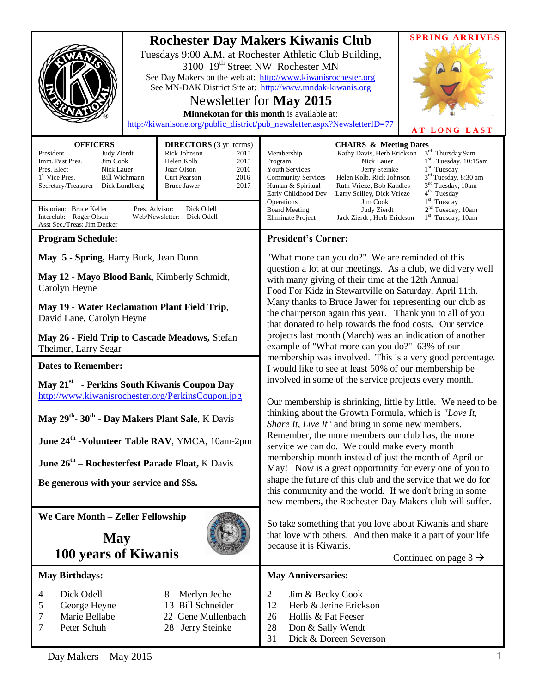|                                                                                                                                                                                                                                                                                                                                                                                                                                                                                                                                                                                                                                                                     | <b>SPRING ARRIVES</b><br><b>Rochester Day Makers Kiwanis Club</b><br>Tuesdays 9:00 A.M. at Rochester Athletic Club Building,<br>3100 19 <sup>th</sup> Street NW Rochester MN<br>See Day Makers on the web at: http://www.kiwanisrochester.org<br>See MN-DAK District Site at: http://www.mndak-kiwanis.org<br>Newsletter for May 2015<br>Minnekotan for this month is available at:<br>http://kiwanisone.org/public_district/pub_newsletter.aspx?NewsletterID=77<br>AT LONG LAST                                                                                                                                                                                                                                                                                                                                                                                                                                                                                                                                                                                                                                                                                                                                                                                                                          |
|---------------------------------------------------------------------------------------------------------------------------------------------------------------------------------------------------------------------------------------------------------------------------------------------------------------------------------------------------------------------------------------------------------------------------------------------------------------------------------------------------------------------------------------------------------------------------------------------------------------------------------------------------------------------|-----------------------------------------------------------------------------------------------------------------------------------------------------------------------------------------------------------------------------------------------------------------------------------------------------------------------------------------------------------------------------------------------------------------------------------------------------------------------------------------------------------------------------------------------------------------------------------------------------------------------------------------------------------------------------------------------------------------------------------------------------------------------------------------------------------------------------------------------------------------------------------------------------------------------------------------------------------------------------------------------------------------------------------------------------------------------------------------------------------------------------------------------------------------------------------------------------------------------------------------------------------------------------------------------------------|
| <b>DIRECTORS</b> (3 yr terms)<br><b>OFFICERS</b><br>President<br>Judy Zierdt<br>Rick Johnson<br>2015<br>Imm. Past Pres.<br>Jim Cook<br>Helen Kolb<br>2015<br>Nick Lauer<br>2016<br>Pres. Elect<br>Joan Olson<br><b>Bill Wichmann</b><br>1 <sup>st</sup> Vice Pres.<br>Curt Pearson<br>2016<br>Secretary/Treasurer<br>Dick Lundberg<br><b>Bruce Jawer</b><br>2017<br>Historian: Bruce Keller<br>Pres. Advisor:<br>Dick Odell<br>Interclub: Roger Olson<br>Web/Newsletter: Dick Odell<br>Asst Sec./Treas: Jim Decker                                                                                                                                                  | <b>CHAIRS &amp; Meeting Dates</b><br>Kathy Davis, Herb Erickson<br>3rd Thursday 9am<br>Membership<br>$1st$ Tuesday, 10:15am<br>Nick Lauer<br>Program<br>Youth Services<br>Jerry Steinke<br>$1st$ Tuesday<br>$3rd$ Tuesday, 8:30 am<br><b>Community Services</b><br>Helen Kolb, Rick Johnson<br>Ruth Vrieze, Bob Kandles<br>3 <sup>nd</sup> Tuesday, 10am<br>Human & Spiritual<br>4 <sup>th</sup> Tuesday<br>Early Childhood Dev<br>Larry Scilley, Dick Vrieze<br>Operations<br>$1st$ Tuesday<br>Jim Cook<br>Judy Zierdt<br>2 <sup>nd</sup> Tuesday, 10am<br><b>Board Meeting</b><br>$1st$ Tuesday, 10am<br>Eliminate Project<br>Jack Zierdt, Herb Erickson                                                                                                                                                                                                                                                                                                                                                                                                                                                                                                                                                                                                                                                |
| <b>Program Schedule:</b>                                                                                                                                                                                                                                                                                                                                                                                                                                                                                                                                                                                                                                            | <b>President's Corner:</b>                                                                                                                                                                                                                                                                                                                                                                                                                                                                                                                                                                                                                                                                                                                                                                                                                                                                                                                                                                                                                                                                                                                                                                                                                                                                                |
| May 5 - Spring, Harry Buck, Jean Dunn<br>May 12 - Mayo Blood Bank, Kimberly Schmidt,<br>Carolyn Heyne<br>May 19 - Water Reclamation Plant Field Trip,<br>David Lane, Carolyn Heyne<br>May 26 - Field Trip to Cascade Meadows, Stefan<br>Theimer, Larry Segar<br><b>Dates to Remember:</b><br>May 21 <sup>st</sup> - Perkins South Kiwanis Coupon Day<br>http://www.kiwanisrochester.org/PerkinsCoupon.jpg<br>May 29 <sup>th</sup> -30 <sup>th</sup> - Day Makers Plant Sale, K Davis<br>June 24 <sup>th</sup> -Volunteer Table RAV, YMCA, 10am-2pm<br><b>June 26<sup>th</sup> – Rochesterfest Parade Float, K Davis</b><br>Be generous with your service and \$\$s. | "What more can you do?" We are reminded of this<br>question a lot at our meetings. As a club, we did very well<br>with many giving of their time at the 12th Annual<br>Food For Kidz in Stewartville on Saturday, April 11th.<br>Many thanks to Bruce Jawer for representing our club as<br>the chairperson again this year. Thank you to all of you<br>that donated to help towards the food costs. Our service<br>projects last month (March) was an indication of another<br>example of "What more can you do?" 63% of our<br>membership was involved. This is a very good percentage.<br>I would like to see at least 50% of our membership be<br>involved in some of the service projects every month.<br>Our membership is shrinking, little by little. We need to be<br>thinking about the Growth Formula, which is "Love It,<br>Share It, Live It" and bring in some new members.<br>Remember, the more members our club has, the more<br>service we can do. We could make every month<br>membership month instead of just the month of April or<br>May! Now is a great opportunity for every one of you to<br>shape the future of this club and the service that we do for<br>this community and the world. If we don't bring in some<br>new members, the Rochester Day Makers club will suffer. |
| We Care Month - Zeller Fellowship<br><b>May</b><br>100 years of Kiwanis                                                                                                                                                                                                                                                                                                                                                                                                                                                                                                                                                                                             | So take something that you love about Kiwanis and share<br>that love with others. And then make it a part of your life<br>because it is Kiwanis.<br>Continued on page $3 \rightarrow$                                                                                                                                                                                                                                                                                                                                                                                                                                                                                                                                                                                                                                                                                                                                                                                                                                                                                                                                                                                                                                                                                                                     |
| <b>May Birthdays:</b>                                                                                                                                                                                                                                                                                                                                                                                                                                                                                                                                                                                                                                               | <b>May Anniversaries:</b>                                                                                                                                                                                                                                                                                                                                                                                                                                                                                                                                                                                                                                                                                                                                                                                                                                                                                                                                                                                                                                                                                                                                                                                                                                                                                 |
| Dick Odell<br>Merlyn Jeche<br>4<br>13 Bill Schneider<br>George Heyne<br>5<br>7<br>Marie Bellabe<br>22 Gene Mullenbach<br>7<br>Peter Schuh<br>Jerry Steinke<br>28                                                                                                                                                                                                                                                                                                                                                                                                                                                                                                    | $\overline{2}$<br>Jim & Becky Cook<br>Herb & Jerine Erickson<br>12<br>Hollis & Pat Feeser<br>26<br>28<br>Don & Sally Wendt<br>Dick & Doreen Severson<br>31                                                                                                                                                                                                                                                                                                                                                                                                                                                                                                                                                                                                                                                                                                                                                                                                                                                                                                                                                                                                                                                                                                                                                |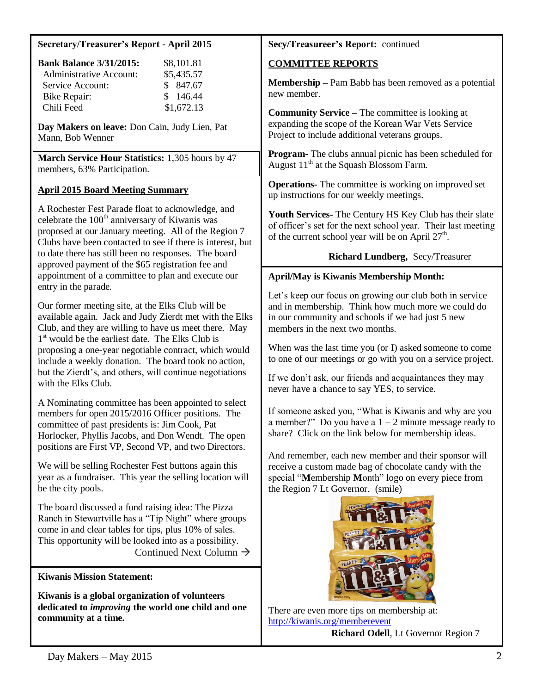#### **Secretary/Treasurer's Report - April 2015**

| <b>Bank Balance 3/31/2015:</b> | \$8,101.81 |
|--------------------------------|------------|
| <b>Administrative Account:</b> | \$5,435.57 |
| Service Account:               | \$ 847.67  |
| Bike Repair:                   | \$146.44   |
| Chili Feed                     | \$1,672.13 |

**Day Makers on leave:** Don Cain, Judy Lien, Pat Mann, Bob Wenner

**March Service Hour Statistics:** 1,305 hours by 47 members, 63% Participation.

# **April 2015 Board Meeting Summary**

A Rochester Fest Parade float to acknowledge, and celebrate the 100<sup>th</sup> anniversary of Kiwanis was proposed at our January meeting. All of the Region 7 Clubs have been contacted to see if there is interest, but to date there has still been no responses. The board approved payment of the \$65 registration fee and appointment of a committee to plan and execute our entry in the parade.

Our former meeting site, at the Elks Club will be available again. Jack and Judy Zierdt met with the Elks Club, and they are willing to have us meet there. May 1<sup>st</sup> would be the earliest date. The Elks Club is proposing a one-year negotiable contract, which would include a weekly donation. The board took no action, but the Zierdt's, and others, will continue negotiations with the Elks Club.

A Nominating committee has been appointed to select members for open 2015/2016 Officer positions. The committee of past presidents is: Jim Cook, Pat Horlocker, Phyllis Jacobs, and Don Wendt. The open positions are First VP, Second VP, and two Directors.

We will be selling Rochester Fest buttons again this year as a fundraiser. This year the selling location will be the city pools.

The board discussed a fund raising idea: The Pizza Ranch in Stewartville has a "Tip Night" where groups come in and clear tables for tips, plus 10% of sales. This opportunity will be looked into as a possibility. Continued Next Column  $\rightarrow$ 

## **Kiwanis Mission Statement:**

**Kiwanis is a global organization of volunteers dedicated to** *improving* **the world one child and one community at a time.**

## **Secy/Treasureer's Report:** continued

# **COMMITTEE REPORTS**

**Membership –** Pam Babb has been removed as a potential new member.

**Community Service –** The committee is looking at expanding the scope of the Korean War Vets Service Project to include additional veterans groups.

**Program-** The clubs annual picnic has been scheduled for August  $11<sup>th</sup>$  at the Squash Blossom Farm.

**Operations-** The committee is working on improved set up instructions for our weekly meetings.

**Youth Services-** The Century HS Key Club has their slate of officer's set for the next school year. Their last meeting of the current school year will be on April  $27<sup>th</sup>$ .

## **Richard Lundberg,** Secy/Treasurer

# **April/May is Kiwanis Membership Month:**

Let's keep our focus on growing our club both in service and in membership. Think how much more we could do in our community and schools if we had just 5 new members in the next two months.

When was the last time you (or I) asked someone to come to one of our meetings or go with you on a service project.

If we don't ask, our friends and acquaintances they may never have a chance to say YES, to service.

If someone asked you, "What is Kiwanis and why are you a member?" Do you have a  $1 - 2$  minute message ready to share? Click on the link below for membership ideas.

And remember, each new member and their sponsor will receive a custom made bag of chocolate candy with the special "**M**embership **M**onth" logo on every piece from the Region 7 Lt Governor. (smile)



There are even more tips on membership at: <http://kiwanis.org/memberevent>

**Richard Odell**, Lt Governor Region 7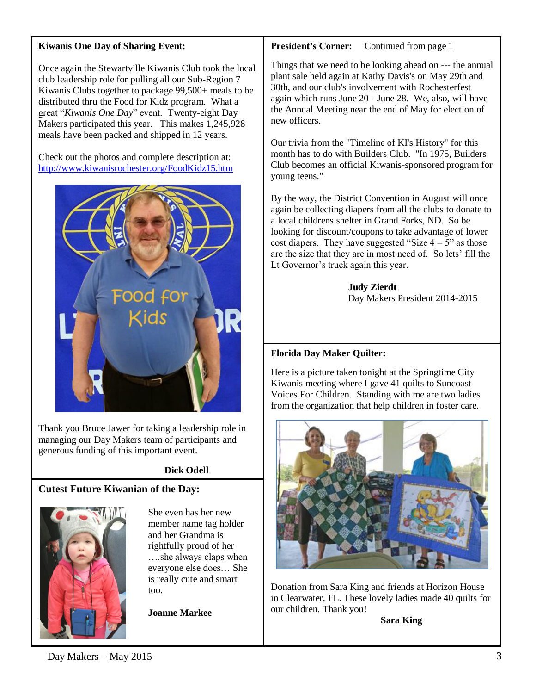### **Kiwanis One Day of Sharing Event:**

Once again the Stewartville Kiwanis Club took the local club leadership role for pulling all our Sub-Region 7 Kiwanis Clubs together to package 99,500+ meals to be distributed thru the Food for Kidz program. What a great "*Kiwanis One Day*" event. Twenty-eight Day Makers participated this year. This makes 1,245,928 meals have been packed and shipped in 12 years.

Check out the photos and complete description at: <http://www.kiwanisrochester.org/FoodKidz15.htm>



Thank you Bruce Jawer for taking a leadership role in managing our Day Makers team of participants and generous funding of this important event.

# **Dick Odell**

## **Cutest Future Kiwanian of the Day:**



She even has her new member name tag holder and her Grandma is rightfully proud of her ….she always claps when everyone else does… She is really cute and smart too.

**Joanne Markee**

**President's Corner:** Continued from page 1

Things that we need to be looking ahead on --- the annual plant sale held again at Kathy Davis's on May 29th and 30th, and our club's involvement with Rochesterfest again which runs June 20 - June 28. We, also, will have the Annual Meeting near the end of May for election of new officers.

Our trivia from the "Timeline of KI's History" for this month has to do with Builders Club. "In 1975, Builders Club becomes an official Kiwanis-sponsored program for young teens."

By the way, the District Convention in August will once again be collecting diapers from all the clubs to donate to a local childrens shelter in Grand Forks, ND. So be looking for discount/coupons to take advantage of lower cost diapers. They have suggested "Size  $4 - 5$ " as those are the size that they are in most need of. So lets' fill the Lt Governor's truck again this year.

> **Judy Zierdt** Day Makers President 2014-2015

## **Florida Day Maker Quilter:**

Here is a picture taken tonight at the Springtime City Kiwanis meeting where I gave 41 quilts to Suncoast Voices For Children. Standing with me are two ladies from the organization that help children in foster care.



Donation from Sara King and friends at Horizon House in Clearwater, FL. These lovely ladies made 40 quilts for our children. Thank you!

 **Sara King**